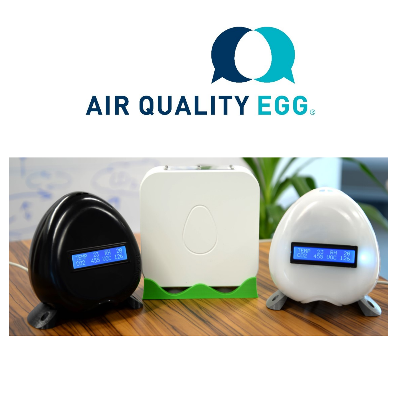

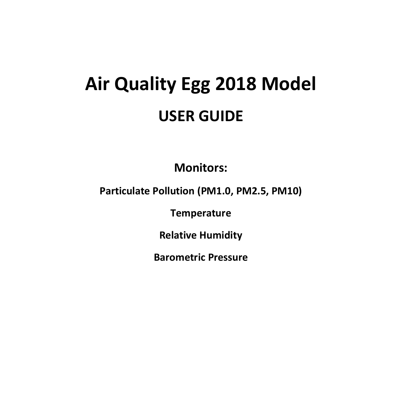# **Air Quality Egg 2018 Model USER GUIDE**

**Monitors:**

**Particulate Pollution (PM1.0, PM2.5, PM10)**

**Temperature**

**Relative Humidity**

**Barometric Pressure**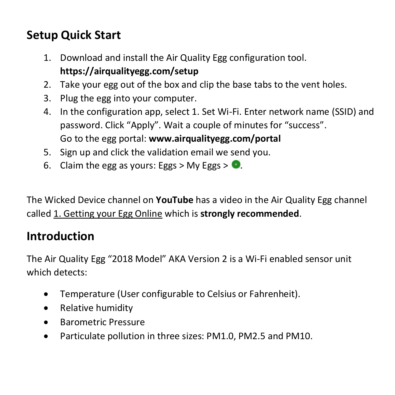## **Setup Quick Start**

- 1. Download and install the Air Quality Egg configuration tool. **https://airqualityegg.com/setup**
- 2. Take your egg out of the box and clip the base tabs to the vent holes.
- 3. Plug the egg into your computer.
- 4. In the configuration app, select 1. Set Wi-Fi. Enter network name (SSID) and password. Click "Apply". Wait a couple of minutes for "success". Go to the egg portal: **www.airqualityegg.com/portal**
- 5. Sign up and click the validation email we send you.
- 6. Claim the egg as yours: Eggs > My Eggs >  $\bullet$ .

The Wicked Device channel on **YouTube** has a video in the Air Quality Egg channel called 1. Getting your Egg Online which is **strongly recommended**.

#### **Introduction**

The Air Quality Egg "2018 Model" AKA Version 2 is a Wi-Fi enabled sensor unit which detects:

- Temperature (User configurable to Celsius or Fahrenheit).
- Relative humidity
- Barometric Pressure
- Particulate pollution in three sizes: PM1.0, PM2.5 and PM10.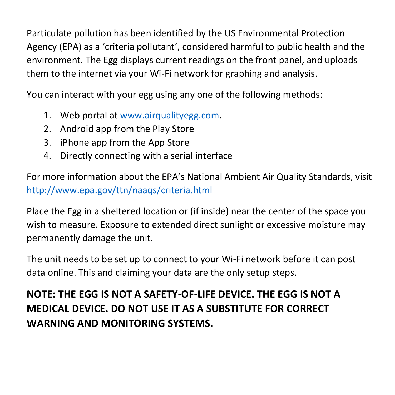Particulate pollution has been identified by the US Environmental Protection Agency (EPA) as a 'criteria pollutant', considered harmful to public health and the environment. The Egg displays current readings on the front panel, and uploads them to the internet via your Wi-Fi network for graphing and analysis.

You can interact with your egg using any one of the following methods:

- 1. Web portal at [www.airqualityegg.com.](http://www.airqualityegg.com/)
- 2. Android app from the Play Store
- 3. iPhone app from the App Store
- 4. Directly connecting with a serial interface

For more information about the EPA's National Ambient Air Quality Standards, visit <http://www.epa.gov/ttn/naaqs/criteria.html>

Place the Egg in a sheltered location or (if inside) near the center of the space you wish to measure. Exposure to extended direct sunlight or excessive moisture may permanently damage the unit.

The unit needs to be set up to connect to your Wi-Fi network before it can post data online. This and claiming your data are the only setup steps.

**NOTE: THE EGG IS NOT A SAFETY-OF-LIFE DEVICE. THE EGG IS NOT A MEDICAL DEVICE. DO NOT USE IT AS A SUBSTITUTE FOR CORRECT WARNING AND MONITORING SYSTEMS.**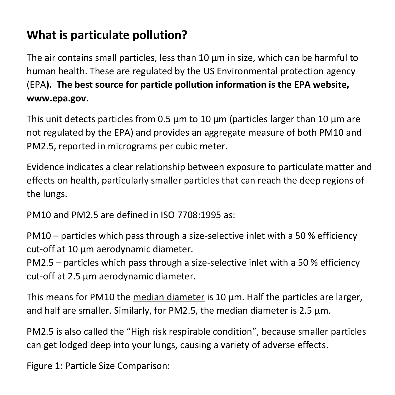## **What is particulate pollution?**

The air contains small particles, less than 10 μm in size, which can be harmful to human health. These are regulated by the US Environmental protection agency (EPA**). The best source for particle pollution information is the EPA website, www.epa.gov**.

This unit detects particles from 0.5  $\mu$ m to 10  $\mu$ m (particles larger than 10  $\mu$ m are not regulated by the EPA) and provides an aggregate measure of both PM10 and PM2.5, reported in micrograms per cubic meter.

Evidence indicates a clear relationship between exposure to particulate matter and effects on health, particularly smaller particles that can reach the deep regions of the lungs.

PM10 and PM2.5 are defined in ISO 7708:1995 as:

PM10 – particles which pass through a size-selective inlet with a 50 % efficiency cut-off at 10 μm aerodynamic diameter.

PM2.5 – particles which pass through a size-selective inlet with a 50 % efficiency cut-off at 2.5 μm aerodynamic diameter.

This means for PM10 the median diameter is 10 μm. Half the particles are larger, and half are smaller. Similarly, for PM2.5, the median diameter is 2.5 μm.

PM2.5 is also called the "High risk respirable condition", because smaller particles can get lodged deep into your lungs, causing a variety of adverse effects.

Figure 1: Particle Size Comparison: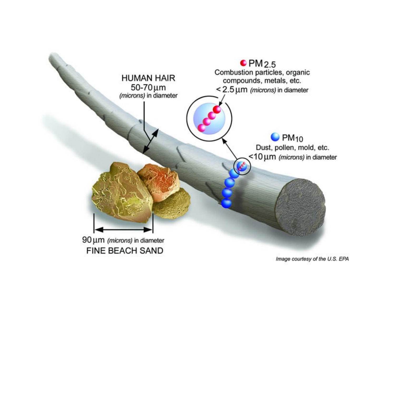

Image courtesy of the U.S. EPA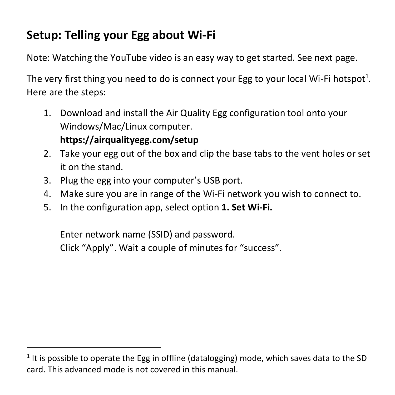## **Setup: Telling your Egg about Wi-Fi**

Note: Watching the YouTube video is an easy way to get started. See next page.

The very first thing you need to do is connect your Egg to your local Wi-Fi hotspot<sup>1</sup>. Here are the steps:

1. Download and install the Air Quality Egg configuration tool onto your Windows/Mac/Linux computer.

#### **https://airqualityegg.com/setup**

 $\overline{a}$ 

- 2. Take your egg out of the box and clip the base tabs to the vent holes or set it on the stand.
- 3. Plug the egg into your computer's USB port.
- 4. Make sure you are in range of the Wi-Fi network you wish to connect to.
- 5. In the configuration app, select option **1. Set Wi-Fi.**

Enter network name (SSID) and password. Click "Apply". Wait a couple of minutes for "success".

 $<sup>1</sup>$  It is possible to operate the Egg in offline (datalogging) mode, which saves data to the SD</sup> card. This advanced mode is not covered in this manual.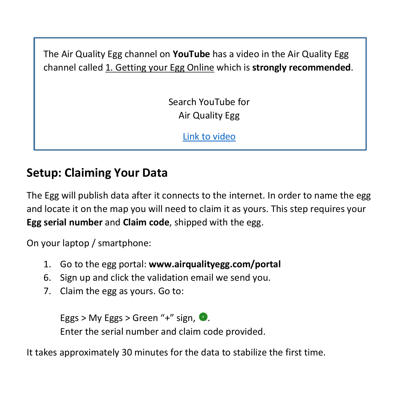The Air Quality Egg channel on **YouTube** has a video in the Air Quality Egg channel called 1. Getting your Egg Online which is **strongly recommended**.

> Search YouTube for Air Quality Egg

> > [Link to video](https://www.youtube.com/watch?v=zn3mZ9R4Ato&t=56s)

#### **Setup: Claiming Your Data**

The Egg will publish data after it connects to the internet. In order to name the egg and locate it on the map you will need to claim it as yours. This step requires your **Egg serial number** and **Claim code**, shipped with the egg.

On your laptop / smartphone:

- 1. Go to the egg portal: **www.airqualityegg.com/portal**
- 6. Sign up and click the validation email we send you.
- 7. Claim the egg as yours. Go to:

Eggs > My Eggs > Green "+" sign,  $\bullet$ . Enter the serial number and claim code provided.

It takes approximately 30 minutes for the data to stabilize the first time.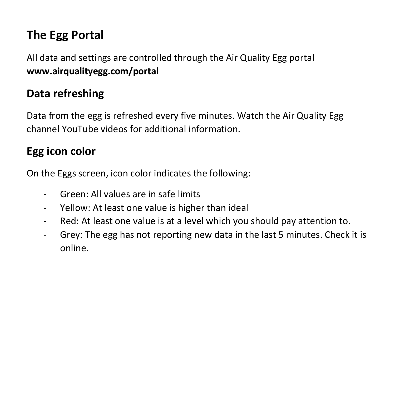## **The Egg Portal**

All data and settings are controlled through the Air Quality Egg portal **www.airqualityegg.com/portal**

#### **Data refreshing**

Data from the egg is refreshed every five minutes. Watch the Air Quality Egg channel YouTube videos for additional information.

#### **Egg icon color**

On the Eggs screen, icon color indicates the following:

- Green: All values are in safe limits
- Yellow: At least one value is higher than ideal
- Red: At least one value is at a level which you should pay attention to.
- Grey: The egg has not reporting new data in the last 5 minutes. Check it is online.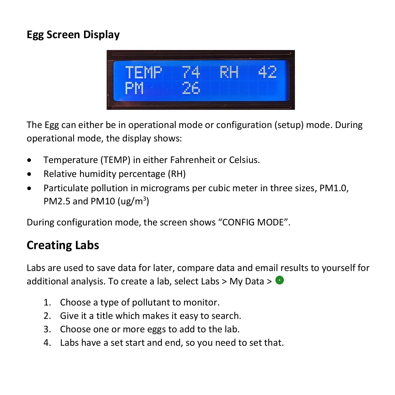#### **Egg Screen Display**



The Egg can either be in operational mode or configuration (setup) mode. During operational mode, the display shows:

- Temperature (TEMP) in either Fahrenheit or Celsius.
- Relative humidity percentage (RH)
- Particulate pollution in micrograms per cubic meter in three sizes, PM1.0, PM2.5 and PM10 ( $\mu$ g/m<sup>3</sup>)

During configuration mode, the screen shows "CONFIG MODE".

### **Creating Labs**

Labs are used to save data for later, compare data and email results to yourself for additional analysis. To create a lab, select Labs > My Data >  $\bullet$ 

- 1. Choose a type of pollutant to monitor.
- 2. Give it a title which makes it easy to search.
- 3. Choose one or more eggs to add to the lab.
- 4. Labs have a set start and end, so you need to set that.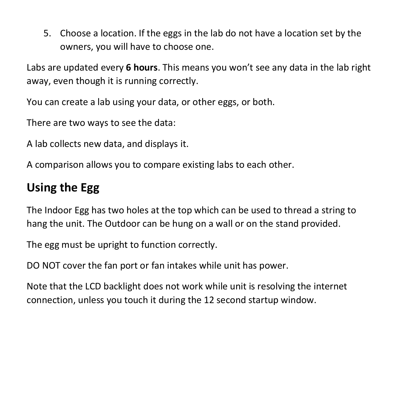5. Choose a location. If the eggs in the lab do not have a location set by the owners, you will have to choose one.

Labs are updated every **6 hours**. This means you won't see any data in the lab right away, even though it is running correctly.

You can create a lab using your data, or other eggs, or both.

There are two ways to see the data:

A lab collects new data, and displays it.

A comparison allows you to compare existing labs to each other.

#### **Using the Egg**

The Indoor Egg has two holes at the top which can be used to thread a string to hang the unit. The Outdoor can be hung on a wall or on the stand provided.

The egg must be upright to function correctly.

DO NOT cover the fan port or fan intakes while unit has power.

Note that the LCD backlight does not work while unit is resolving the internet connection, unless you touch it during the 12 second startup window.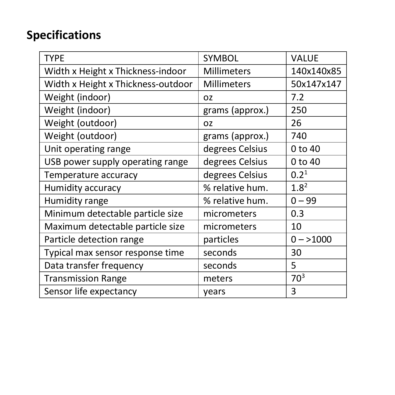## **Specifications**

| <b>TYPE</b>                        | SYMBOL             | <b>VALUE</b>     |
|------------------------------------|--------------------|------------------|
| Width x Height x Thickness-indoor  | Millimeters        | 140x140x85       |
| Width x Height x Thickness-outdoor | <b>Millimeters</b> | 50x147x147       |
| Weight (indoor)                    | 0Z                 | 7.2              |
| Weight (indoor)                    | grams (approx.)    | 250              |
| Weight (outdoor)                   | OZ.                | 26               |
| Weight (outdoor)                   | grams (approx.)    | 740              |
| Unit operating range               | degrees Celsius    | 0 to 40          |
| USB power supply operating range   | degrees Celsius    | 0 to 40          |
| Temperature accuracy               | degrees Celsius    | 0.2 <sup>1</sup> |
| Humidity accuracy                  | % relative hum.    | $1.8^{2}$        |
| Humidity range                     | % relative hum.    | $0 - 99$         |
| Minimum detectable particle size   | micrometers        | 0.3              |
| Maximum detectable particle size   | micrometers        | 10               |
| Particle detection range           | particles          | $0 - > 1000$     |
| Typical max sensor response time   | seconds            | 30               |
| Data transfer frequency            | seconds            | 5                |
| <b>Transmission Range</b>          | meters             | 70 <sup>3</sup>  |
| Sensor life expectancy             | years              | 3                |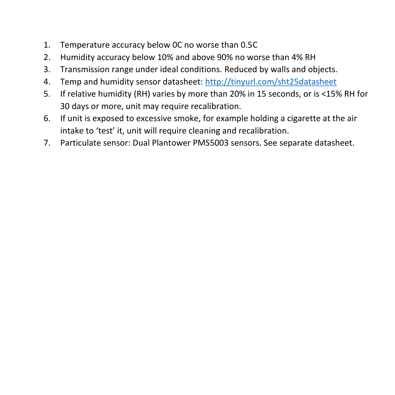- 1. Temperature accuracy below 0C no worse than 0.5C
- 2. Humidity accuracy below 10% and above 90% no worse than 4% RH
- 3. Transmission range under ideal conditions. Reduced by walls and objects.
- 4. Temp and humidity sensor datasheet: <http://tinyurl.com/sht25datasheet>
- 5. If relative humidity (RH) varies by more than 20% in 15 seconds, or is <15% RH for 30 days or more, unit may require recalibration.
- 6. If unit is exposed to excessive smoke, for example holding a cigarette at the air intake to 'test' it, unit will require cleaning and recalibration.
- 7. Particulate sensor: Dual Plantower PMS5003 sensors. See separate datasheet.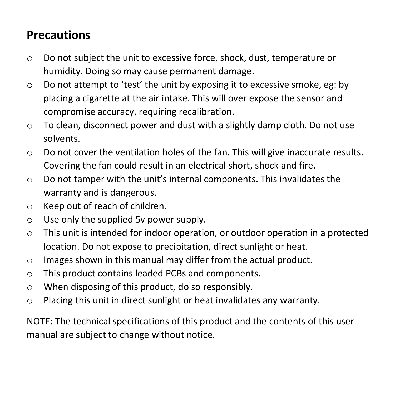### **Precautions**

- o Do not subject the unit to excessive force, shock, dust, temperature or humidity. Doing so may cause permanent damage.
- o Do not attempt to 'test' the unit by exposing it to excessive smoke, eg: by placing a cigarette at the air intake. This will over expose the sensor and compromise accuracy, requiring recalibration.
- o To clean, disconnect power and dust with a slightly damp cloth. Do not use solvents.
- $\circ$  Do not cover the ventilation holes of the fan. This will give inaccurate results. Covering the fan could result in an electrical short, shock and fire.
- o Do not tamper with the unit's internal components. This invalidates the warranty and is dangerous.
- o Keep out of reach of children.
- o Use only the supplied 5v power supply.
- $\circ$  This unit is intended for indoor operation, or outdoor operation in a protected location. Do not expose to precipitation, direct sunlight or heat.
- o Images shown in this manual may differ from the actual product.
- o This product contains leaded PCBs and components.
- o When disposing of this product, do so responsibly.
- o Placing this unit in direct sunlight or heat invalidates any warranty.

NOTE: The technical specifications of this product and the contents of this user manual are subject to change without notice.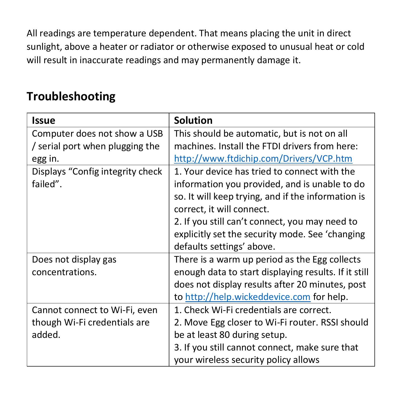All readings are temperature dependent. That means placing the unit in direct sunlight, above a heater or radiator or otherwise exposed to unusual heat or cold will result in inaccurate readings and may permanently damage it.

#### **Troubleshooting**

| <b>Issue</b>                     | <b>Solution</b>                                      |
|----------------------------------|------------------------------------------------------|
| Computer does not show a USB     | This should be automatic, but is not on all          |
| / serial port when plugging the  | machines. Install the FTDI drivers from here:        |
| egg in.                          | http://www.ftdichip.com/Drivers/VCP.htm              |
| Displays "Config integrity check | 1. Your device has tried to connect with the         |
| failed".                         | information you provided, and is unable to do        |
|                                  | so. It will keep trying, and if the information is   |
|                                  | correct, it will connect.                            |
|                                  | 2. If you still can't connect, you may need to       |
|                                  | explicitly set the security mode. See 'changing      |
|                                  | defaults settings' above.                            |
| Does not display gas             | There is a warm up period as the Egg collects        |
| concentrations.                  | enough data to start displaying results. If it still |
|                                  | does not display results after 20 minutes, post      |
|                                  | to http://help.wickeddevice.com for help.            |
| Cannot connect to Wi-Fi, even    | 1. Check Wi-Fi credentials are correct.              |
| though Wi-Fi credentials are     | 2. Move Egg closer to Wi-Fi router. RSSI should      |
| added.                           | be at least 80 during setup.                         |
|                                  | 3. If you still cannot connect, make sure that       |
|                                  | your wireless security policy allows                 |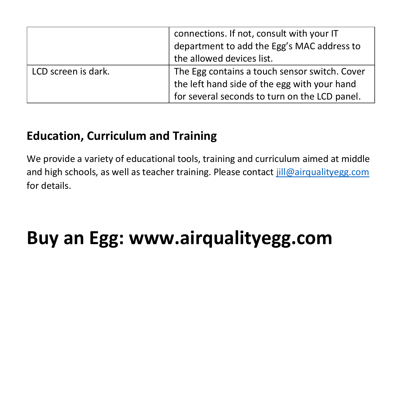|                     | connections. If not, consult with your IT<br>department to add the Egg's MAC address to<br>the allowed devices list.                           |
|---------------------|------------------------------------------------------------------------------------------------------------------------------------------------|
| LCD screen is dark. | The Egg contains a touch sensor switch. Cover<br>the left hand side of the egg with your hand<br>for several seconds to turn on the LCD panel. |

## **Education, Curriculum and Training**

We provide a variety of educational tools, training and curriculum aimed at middle and high schools, as well as teacher training. Please contact [jill@airqualityegg.com](mailto:jill@airqualityegg.com) for details.

# **Buy an Egg: www.airqualityegg.com**